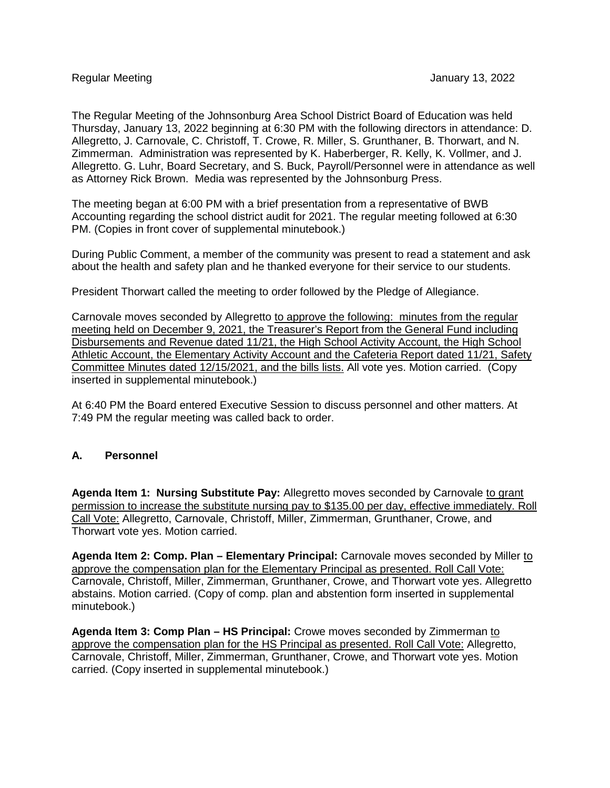The Regular Meeting of the Johnsonburg Area School District Board of Education was held Thursday, January 13, 2022 beginning at 6:30 PM with the following directors in attendance: D. Allegretto, J. Carnovale, C. Christoff, T. Crowe, R. Miller, S. Grunthaner, B. Thorwart, and N. Zimmerman. Administration was represented by K. Haberberger, R. Kelly, K. Vollmer, and J. Allegretto. G. Luhr, Board Secretary, and S. Buck, Payroll/Personnel were in attendance as well as Attorney Rick Brown. Media was represented by the Johnsonburg Press.

The meeting began at 6:00 PM with a brief presentation from a representative of BWB Accounting regarding the school district audit for 2021. The regular meeting followed at 6:30 PM. (Copies in front cover of supplemental minutebook.)

During Public Comment, a member of the community was present to read a statement and ask about the health and safety plan and he thanked everyone for their service to our students.

President Thorwart called the meeting to order followed by the Pledge of Allegiance.

Carnovale moves seconded by Allegretto to approve the following: minutes from the regular meeting held on December 9, 2021, the Treasurer's Report from the General Fund including Disbursements and Revenue dated 11/21, the High School Activity Account, the High School Athletic Account, the Elementary Activity Account and the Cafeteria Report dated 11/21, Safety Committee Minutes dated 12/15/2021, and the bills lists. All vote yes. Motion carried. (Copy inserted in supplemental minutebook.)

At 6:40 PM the Board entered Executive Session to discuss personnel and other matters. At 7:49 PM the regular meeting was called back to order.

## **A. Personnel**

**Agenda Item 1: Nursing Substitute Pay:** Allegretto moves seconded by Carnovale to grant permission to increase the substitute nursing pay to \$135.00 per day, effective immediately. Roll Call Vote: Allegretto, Carnovale, Christoff, Miller, Zimmerman, Grunthaner, Crowe, and Thorwart vote yes. Motion carried.

**Agenda Item 2: Comp. Plan – Elementary Principal:** Carnovale moves seconded by Miller to approve the compensation plan for the Elementary Principal as presented. Roll Call Vote: Carnovale, Christoff, Miller, Zimmerman, Grunthaner, Crowe, and Thorwart vote yes. Allegretto abstains. Motion carried. (Copy of comp. plan and abstention form inserted in supplemental minutebook.)

**Agenda Item 3: Comp Plan – HS Principal:** Crowe moves seconded by Zimmerman to approve the compensation plan for the HS Principal as presented. Roll Call Vote: Allegretto, Carnovale, Christoff, Miller, Zimmerman, Grunthaner, Crowe, and Thorwart vote yes. Motion carried. (Copy inserted in supplemental minutebook.)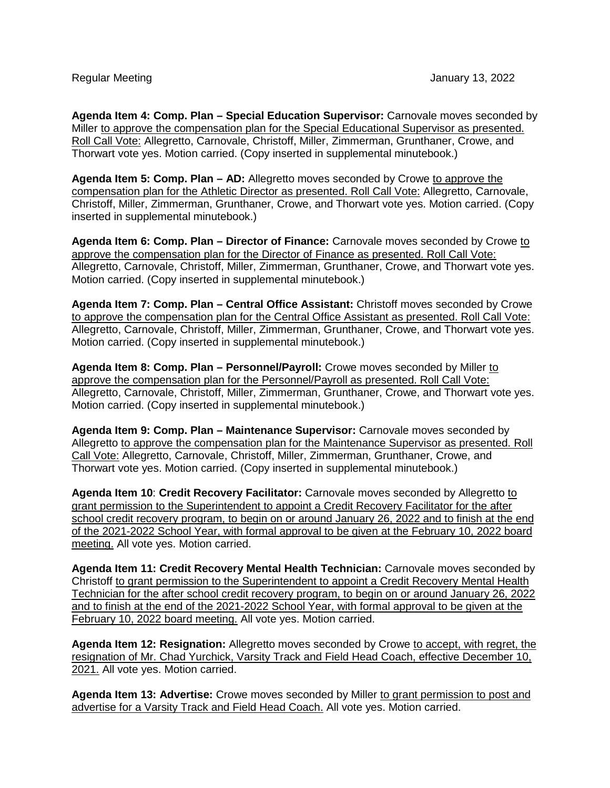**Agenda Item 4: Comp. Plan – Special Education Supervisor:** Carnovale moves seconded by Miller to approve the compensation plan for the Special Educational Supervisor as presented. Roll Call Vote: Allegretto, Carnovale, Christoff, Miller, Zimmerman, Grunthaner, Crowe, and Thorwart vote yes. Motion carried. (Copy inserted in supplemental minutebook.)

**Agenda Item 5: Comp. Plan – AD:** Allegretto moves seconded by Crowe to approve the compensation plan for the Athletic Director as presented. Roll Call Vote: Allegretto, Carnovale, Christoff, Miller, Zimmerman, Grunthaner, Crowe, and Thorwart vote yes. Motion carried. (Copy inserted in supplemental minutebook.)

**Agenda Item 6: Comp. Plan – Director of Finance:** Carnovale moves seconded by Crowe to approve the compensation plan for the Director of Finance as presented. Roll Call Vote: Allegretto, Carnovale, Christoff, Miller, Zimmerman, Grunthaner, Crowe, and Thorwart vote yes. Motion carried. (Copy inserted in supplemental minutebook.)

**Agenda Item 7: Comp. Plan – Central Office Assistant:** Christoff moves seconded by Crowe to approve the compensation plan for the Central Office Assistant as presented. Roll Call Vote: Allegretto, Carnovale, Christoff, Miller, Zimmerman, Grunthaner, Crowe, and Thorwart vote yes. Motion carried. (Copy inserted in supplemental minutebook.)

**Agenda Item 8: Comp. Plan – Personnel/Payroll:** Crowe moves seconded by Miller to approve the compensation plan for the Personnel/Payroll as presented. Roll Call Vote: Allegretto, Carnovale, Christoff, Miller, Zimmerman, Grunthaner, Crowe, and Thorwart vote yes. Motion carried. (Copy inserted in supplemental minutebook.)

**Agenda Item 9: Comp. Plan – Maintenance Supervisor:** Carnovale moves seconded by Allegretto to approve the compensation plan for the Maintenance Supervisor as presented. Roll Call Vote: Allegretto, Carnovale, Christoff, Miller, Zimmerman, Grunthaner, Crowe, and Thorwart vote yes. Motion carried. (Copy inserted in supplemental minutebook.)

**Agenda Item 10**: **Credit Recovery Facilitator:** Carnovale moves seconded by Allegretto to grant permission to the Superintendent to appoint a Credit Recovery Facilitator for the after school credit recovery program, to begin on or around January 26, 2022 and to finish at the end of the 2021-2022 School Year, with formal approval to be given at the February 10, 2022 board meeting. All vote yes. Motion carried.

**Agenda Item 11: Credit Recovery Mental Health Technician:** Carnovale moves seconded by Christoff to grant permission to the Superintendent to appoint a Credit Recovery Mental Health Technician for the after school credit recovery program, to begin on or around January 26, 2022 and to finish at the end of the 2021-2022 School Year, with formal approval to be given at the February 10, 2022 board meeting. All vote yes. Motion carried.

**Agenda Item 12: Resignation:** Allegretto moves seconded by Crowe to accept, with regret, the resignation of Mr. Chad Yurchick, Varsity Track and Field Head Coach, effective December 10, 2021. All vote yes. Motion carried.

Agenda Item 13: Advertise: Crowe moves seconded by Miller to grant permission to post and advertise for a Varsity Track and Field Head Coach. All vote yes. Motion carried.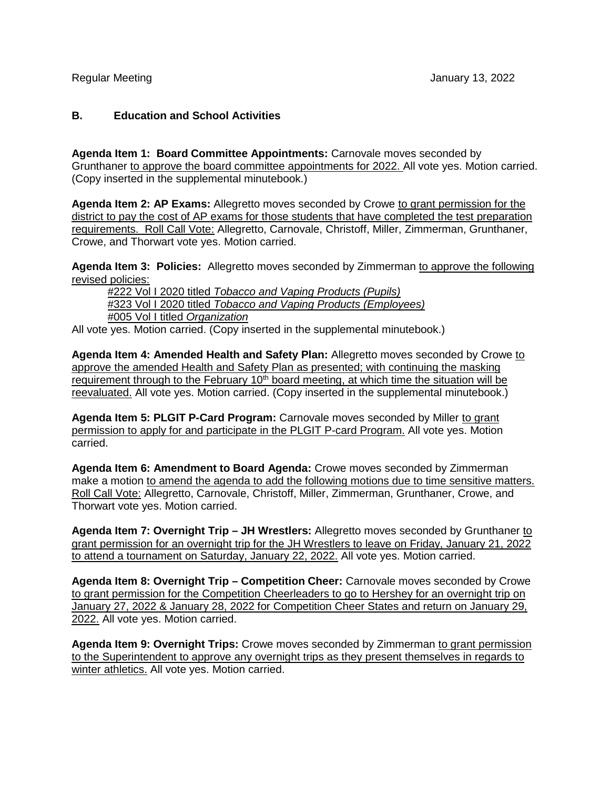## **B. Education and School Activities**

**Agenda Item 1: Board Committee Appointments:** Carnovale moves seconded by Grunthaner to approve the board committee appointments for 2022. All vote yes. Motion carried. (Copy inserted in the supplemental minutebook.)

**Agenda Item 2: AP Exams:** Allegretto moves seconded by Crowe to grant permission for the district to pay the cost of AP exams for those students that have completed the test preparation requirements. Roll Call Vote: Allegretto, Carnovale, Christoff, Miller, Zimmerman, Grunthaner, Crowe, and Thorwart vote yes. Motion carried.

Agenda Item 3: Policies: Allegretto moves seconded by Zimmerman to approve the following revised policies:

#222 Vol I 2020 titled *Tobacco and Vaping Products (Pupils)* #323 Vol I 2020 titled *Tobacco and Vaping Products (Employees)* #005 Vol I titled *Organization*

All vote yes. Motion carried. (Copy inserted in the supplemental minutebook.)

**Agenda Item 4: Amended Health and Safety Plan:** Allegretto moves seconded by Crowe to approve the amended Health and Safety Plan as presented; with continuing the masking requirement through to the February  $10<sup>th</sup>$  board meeting, at which time the situation will be reevaluated. All vote yes. Motion carried. (Copy inserted in the supplemental minutebook.)

**Agenda Item 5: PLGIT P-Card Program:** Carnovale moves seconded by Miller to grant permission to apply for and participate in the PLGIT P-card Program. All vote yes. Motion carried.

**Agenda Item 6: Amendment to Board Agenda:** Crowe moves seconded by Zimmerman make a motion to amend the agenda to add the following motions due to time sensitive matters. Roll Call Vote: Allegretto, Carnovale, Christoff, Miller, Zimmerman, Grunthaner, Crowe, and Thorwart vote yes. Motion carried.

**Agenda Item 7: Overnight Trip – JH Wrestlers:** Allegretto moves seconded by Grunthaner to grant permission for an overnight trip for the JH Wrestlers to leave on Friday, January 21, 2022 to attend a tournament on Saturday, January 22, 2022. All vote yes. Motion carried.

**Agenda Item 8: Overnight Trip – Competition Cheer:** Carnovale moves seconded by Crowe to grant permission for the Competition Cheerleaders to go to Hershey for an overnight trip on January 27, 2022 & January 28, 2022 for Competition Cheer States and return on January 29, 2022. All vote yes. Motion carried.

**Agenda Item 9: Overnight Trips:** Crowe moves seconded by Zimmerman to grant permission to the Superintendent to approve any overnight trips as they present themselves in regards to winter athletics. All vote yes. Motion carried.